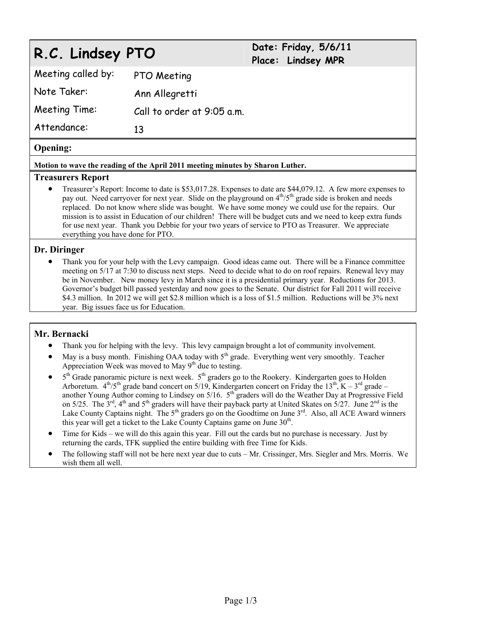# **R.C. Lindsey PTO Date: Friday, 5/6/11**

# **Place: Lindsey MPR**

| Meeting called by: | PTO Meeting                |
|--------------------|----------------------------|
| Note Taker:        | Ann Allegretti             |
| Meeting Time:      | Call to order at 9:05 a.m. |
| Attendance:        | 13                         |

## **Opening:**

#### **Motion to wave the reading of the April 2011 meeting minutes by Sharon Luther.**

#### **Treasurers Report**

 Treasurer's Report: Income to date is \$53,017.28. Expenses to date are \$44,079.12. A few more expenses to pay out. Need carryover for next year. Slide on the playground on  $4<sup>th</sup>/5<sup>th</sup>$  grade side is broken and needs replaced. Do not know where slide was bought. We have some money we could use for the repairs. Our mission is to assist in Education of our children! There will be budget cuts and we need to keep extra funds for use next year. Thank you Debbie for your two years of service to PTO as Treasurer. We appreciate everything you have done for PTO.

#### **Dr. Diringer**

 Thank you for your help with the Levy campaign. Good ideas came out. There will be a Finance committee meeting on 5/17 at 7:30 to discuss next steps. Need to decide what to do on roof repairs. Renewal levy may be in November. New money levy in March since it is a presidential primary year. Reductions for 2013. Governor's budget bill passed yesterday and now goes to the Senate. Our district for Fall 2011 will receive \$4.3 million. In 2012 we will get \$2.8 million which is a loss of \$1.5 million. Reductions will be 3% next year. Big issues face us for Education.

# **Mr. Bernacki**

- Thank you for helping with the levy. This levy campaign brought a lot of community involvement.
- May is a busy month. Finishing OAA today with  $5<sup>th</sup>$  grade. Everything went very smoothly. Teacher Appreciation Week was moved to May  $9<sup>th</sup>$  due to testing.
- $\bullet$  5<sup>th</sup> Grade panoramic picture is next week.  $5<sup>th</sup>$  graders go to the Rookery. Kindergarten goes to Holden Arboretum.  $4^{th}/5^{th}$  grade band concert on 5/19, Kindergarten concert on Friday the 13<sup>th</sup>, K – 3<sup>rd</sup> grade – another Young Author coming to Lindsey on  $5/16$ .  $5<sup>th</sup>$  graders will do the Weather Day at Progressive Field on 5/25. The  $3^{\text{rd}}$ ,  $4^{\text{th}}$  and  $5^{\text{th}}$  graders will have their payback party at United Skates on  $5/27$ . June  $2^{\text{nd}}$  is the Lake County Captains night. The 5<sup>th</sup> graders go on the Goodtime on June 3<sup>rd</sup>. Also, all ACE Award winners this year will get a ticket to the Lake County Captains game on June  $30<sup>th</sup>$ .
- Time for Kids we will do this again this year. Fill out the cards but no purchase is necessary. Just by returning the cards, TFK supplied the entire building with free Time for Kids.
- The following staff will not be here next year due to cuts Mr. Crissinger, Mrs. Siegler and Mrs. Morris. We wish them all well.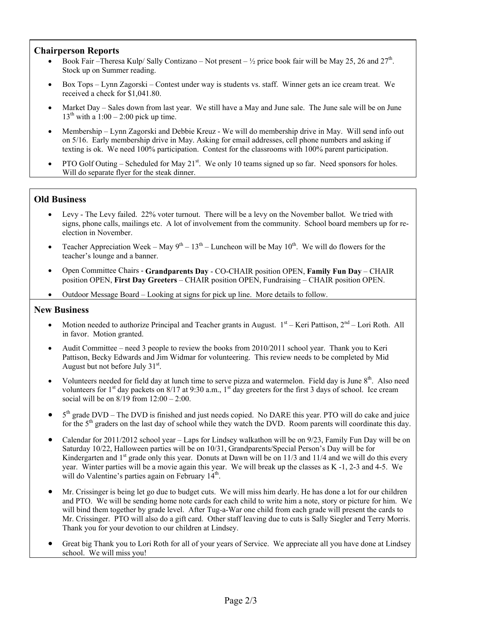#### **Chairperson Reports**

- Book Fair –Theresa Kulp/ Sally Contizano Not present  $\frac{1}{2}$  price book fair will be May 25, 26 and 27<sup>th</sup>. Stock up on Summer reading.
- Box Tops Lynn Zagorski Contest under way is students vs. staff. Winner gets an ice cream treat. We received a check for \$1,041.80.
- Market Day Sales down from last year. We still have a May and June sale. The June sale will be on June  $13<sup>th</sup>$  with a 1:00 – 2:00 pick up time.
- Membership Lynn Zagorski and Debbie Kreuz We will do membership drive in May. Will send info out on 5/16. Early membership drive in May. Asking for email addresses, cell phone numbers and asking if texting is ok. We need 100% participation. Contest for the classrooms with 100% parent participation.
- PTO Golf Outing Scheduled for May 21<sup>st</sup>. We only 10 teams signed up so far. Need sponsors for holes. Will do separate flyer for the steak dinner.

## **Old Business**

- Levy The Levy failed. 22% voter turnout. There will be a levy on the November ballot. We tried with signs, phone calls, mailings etc. A lot of involvement from the community. School board members up for reelection in November.
- Teacher Appreciation Week May  $9^{th}$   $13^{th}$  Luncheon will be May  $10^{th}$ . We will do flowers for the teacher's lounge and a banner.
- Open Committee Chairs **Grandparents Day** CO-CHAIR position OPEN, **Family Fun Day** CHAIR position OPEN, **First Day Greeters** – CHAIR position OPEN, Fundraising – CHAIR position OPEN.
- Outdoor Message Board Looking at signs for pick up line. More details to follow.

#### **New Business**

- Motion needed to authorize Principal and Teacher grants in August.  $1<sup>st</sup>$  Keri Pattison,  $2<sup>nd</sup>$  Lori Roth. All in favor. Motion granted.
- Audit Committee need 3 people to review the books from 2010/2011 school year. Thank you to Keri Pattison, Becky Edwards and Jim Widmar for volunteering. This review needs to be completed by Mid August but not before July 31<sup>st</sup>.
- Volunteers needed for field day at lunch time to serve pizza and watermelon. Field day is June 8<sup>th</sup>. Also need volunteers for 1<sup>st</sup> day packets on 8/17 at 9:30 a.m., 1<sup>st</sup> day greeters for the first 3 days of school. Ice cream social will be on 8/19 from 12:00 – 2:00.
- $\bullet$  5<sup>th</sup> grade DVD The DVD is finished and just needs copied. No DARE this year. PTO will do cake and juice for the 5<sup>th</sup> graders on the last day of school while they watch the DVD. Room parents will coordinate this day.
- Calendar for 2011/2012 school year Laps for Lindsey walkathon will be on 9/23, Family Fun Day will be on Saturday 10/22, Halloween parties will be on 10/31, Grandparents/Special Person's Day will be for Kindergarten and  $1<sup>st</sup>$  grade only this year. Donuts at Dawn will be on 11/3 and 11/4 and we will do this every year. Winter parties will be a movie again this year. We will break up the classes as K -1, 2-3 and 4-5. We will do Valentine's parties again on February  $14<sup>th</sup>$ .
- Mr. Crissinger is being let go due to budget cuts. We will miss him dearly. He has done a lot for our children and PTO. We will be sending home note cards for each child to write him a note, story or picture for him. We will bind them together by grade level. After Tug-a-War one child from each grade will present the cards to Mr. Crissinger. PTO will also do a gift card. Other staff leaving due to cuts is Sally Siegler and Terry Morris. Thank you for your devotion to our children at Lindsey.
- Great big Thank you to Lori Roth for all of your years of Service. We appreciate all you have done at Lindsey school. We will miss you!